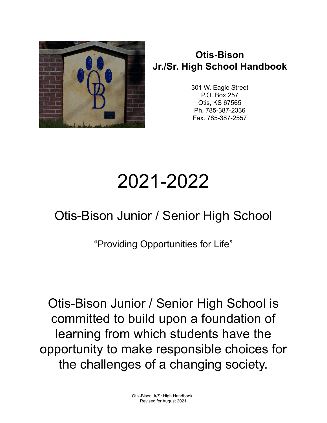

## **Otis-Bison Jr./Sr. High School Handbook**

301 W. Eagle Street P.O. Box 257 Otis, KS 67565 Ph. 785-387-2336 Fax. 785-387-2557

# 2021-2022

## Otis-Bison Junior / Senior High School

"Providing Opportunities for Life"

Otis-Bison Junior / Senior High School is committed to build upon a foundation of learning from which students have the opportunity to make responsible choices for the challenges of a changing society.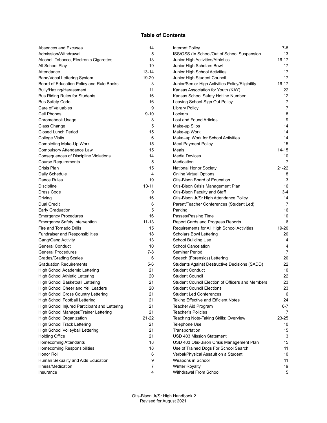#### **Table of Contents**

| Absences and Excuses                          | 14        | Internet Policy                                  | 7-8            |
|-----------------------------------------------|-----------|--------------------------------------------------|----------------|
| Admission/Withdrawal                          | 5         | ISS/OSS (In School/Out of School Suspension      | 13             |
| Alcohol, Tobacco, Electronic Cigarettes       | 13        | Junior High Activities/Athletics                 | 16-17          |
| All School Play                               | 19        | Junior High Scholars Bowl                        | 17             |
| Attendance                                    | 13-14     | Junior High School Activities                    | 17             |
| Band/Vocal Lettering System                   | 19-20     | Junior High Student Council                      | 17             |
| Board of Education Policy and Rule Books      | 3         | Junior/Senior High Activities Policy/Eligibility | 16-17          |
| Bully/Hazing/Harassment                       | 11        | Kansas Association for Youth (KAY)               | 22             |
| <b>Bus Riding Rules for Students</b>          | 16        | Kansas School Safety Hotline Number              | 12             |
| <b>Bus Safety Code</b>                        | 16        | Leaving School-Sign Out Policy                   | $\overline{7}$ |
| Care of Valuables                             | 9         | <b>Library Policy</b>                            | 7              |
| Cell Phones                                   | $9 - 10$  | Lockers                                          | 8              |
| Chromebook Usage                              | 8         | Lost and Found Articles                          | 9              |
| Class Change                                  | 5         | Make-up Slips                                    | 14             |
| <b>Closed Lunch Period</b>                    | 15        | Make-up Work                                     | 14             |
| <b>College Visits</b>                         | 6         | Make-up Work for School Activities               | 14             |
| Completing Make-Up Work                       | 15        | <b>Meal Payment Policy</b>                       | 15             |
| Compulsory Attendance Law                     | 15        | Meals                                            | 14-15          |
| Consequences of Discipline Violations         | 14        | Media Devices                                    | 10             |
| <b>Course Requirements</b>                    | 5         | Medication                                       | 7              |
| Crisis Plan                                   | 15        | National Honor Society                           | 21-22          |
| Daily Schedule                                | 4         | <b>Online Virtual Options</b>                    | 8              |
| Dance Rules                                   | 19        | Otis-Bison Board of Education                    | 3              |
| Discipline                                    | $10 - 11$ | Otis-Bison Crisis Management Plan                | 16             |
| Dress Code                                    | 9         | Otis-Bison Faculty and Staff                     | $3-4$          |
| Driving                                       | 16        | Otis-Bison Jr/Sr High Attendance Policy          | 14             |
| Dual Credit                                   | 6         | Parent/Teacher Conferences (Student Led)         | $\overline{7}$ |
| Early Graduation                              | 5         | Parking                                          | 16             |
| <b>Emergency Procedures</b>                   | 16        | Passes/Passing Time                              | 10             |
| <b>Emergency Safety Intervention</b>          | $11 - 13$ | Report Cards and Progress Reports                | 6              |
| Fire and Tornado Drills                       | 15        | Requirements for All High School Activities      | 19-20          |
| <b>Fundraiser and Responsibilities</b>        | 18        | Scholars Bowl Lettering                          | 20             |
| Gang/Gang Activity                            | 13        | School Building Use                              | 4              |
| <b>General Conduct</b>                        | 10        | <b>School Cancelation</b>                        | 4              |
| <b>General Procedures</b>                     | $7-8$     | Seminar Period                                   | $\overline{7}$ |
| <b>Grades/Grading Scales</b>                  | 6         | Speech (Forensics) Lettering                     | 20             |
| <b>Graduation Requirements</b>                | 5-6       | Students Against Destructive Decisions (SADD)    | 22             |
| High School Academic Lettering                | 21        | <b>Student Conduct</b>                           | 10             |
| <b>High School Athletic Lettering</b>         | 20        | <b>Student Council</b>                           | 22             |
| High School Basketball Lettering              | 21        | Student Council Election of Officers and Members | 23             |
| High School Cheer and Yell Leaders            | 20        | <b>Student Council Elections</b>                 | 23             |
| High School Cross Country Lettering           | 21        | <b>Student Led Conferences</b>                   | 6              |
| <b>High School Football Lettering</b>         | 21        | Taking Effective and Efficient Notes             | 24             |
| High School Injured Participant and Lettering | 21        | Teacher Aid Program                              | 6-7            |
| High School Manager/Trainer Lettering         | 21        | Teacher's Policies                               | 7              |
| High School Organization                      | 21-22     | Teaching Note-Taking Skills: Overview            | 23-25          |
| <b>High School Track Lettering</b>            | 21        | Telephone Use                                    | 10             |
| High School Volleyball Lettering              | 21        | Transportation                                   | 15             |
| <b>Holding Office</b>                         | 21        | USD 403 Mission Statement                        | 3              |
| <b>Homecoming Attendants</b>                  | 18        | USD 403 Otis-Bison Crisis Management Plan        | 15             |
| Homecoming Responsibilities                   | 18        | Use of Trained Dogs For School Search            | 11             |
| Honor Roll                                    | 6         | Verbal/Physical Assault on a Student             | 10             |
| Human Sexuality and Aids Education            | 9         | Weapons in School                                | 11             |
| Illness/Medication                            | 7         | <b>Winter Royalty</b>                            | 19             |
| Insurance                                     | 4         | Withdrawal From School                           | 5              |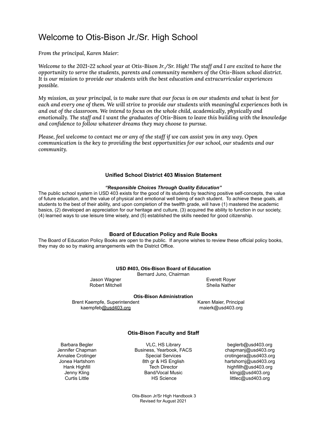### Welcome to Otis-Bison Jr./Sr. High School

*From the principal, Karen Maier:*

Welcome to the 2021-22 school year at Otis-Bison Jr./Sr. High! The staff and I are excited to have the *opportunity to serve the students, parents and community members of the Otis-Bison school district. It is our mission to provide our students with the best education and extracurricular experiences possible.*

My mission, as your principal, is to make sure that our focus is on our students and what is best for each and every one of them. We will strive to provide our students with meaningful experiences both in *and out of the classroom. We intend to focus on the whole child, academically, physically and emotionally. The staff and I want the graduates of Otis-Bison to leave this building with the knowledge and confidence to follow whatever dreams they may choose to pursue.*

Please, feel welcome to contact me or any of the staff if we can assist you in any way. Open *communication is the key to providing the best opportunities for our school, our students and our community.*

#### **Unified School District 403 Mission Statement**

#### *"Responsible Choices Through Quality Education"*

The public school system in USD 403 exists for the good of its students by teaching positive self-concepts, the value of future education, and the value of physical and emotional well being of each student. To achieve these goals, all students to the best of their ability, and upon completion of the twelfth grade, will have (1) mastered the academic basics, (2) developed an appreciation for our heritage and culture, (3) acquired the ability to function in our society, (4) learned ways to use leisure time wisely, and (5) established the skills needed for good citizenship.

#### **Board of Education Policy and Rule Books**

The Board of Education Policy Books are open to the public. If anyone wishes to review these official policy books, they may do so by making arrangements with the District Office.

|  | USD #403, Otis-Bison Board of Education |  |  |
|--|-----------------------------------------|--|--|
|  |                                         |  |  |

Bernard Juno, Chairman

Robert Mitchell **Sheila Nather** Sheila Nather

Jason Wagner **Everett Royer** 

#### **Otis-Bison Administration**

Brent Kaempfe, Superintendent Karen Maier, Principal kaempfeb[@usd403.org](mailto:lowryb@usd403.org) maierk@usd403.org

#### **Otis-Bison Faculty and Staff**

Barbara Begler **Barbara Begler Barbara Begler Barbara Beglerb** VLC, HS Library **beglerb@usd403.org** Jennifer Chapman Business, Yearbook, FACS chapmanj@usd403.org Annalee Crotinger **Annalee Crotinger** Special Services crotingera@usd403.org<br>
Jonea Hartshorn **Sthips** 8th gr & HS English antshorni@usd403.org 8th gr & HS English hartshornj@usd403.org Hank Highfill **Tech Director** Tech Director highfillh@usd403.org Jenny Kling **Band/Vocal Music 1996** klingj@usd403.org klingj Curtis Little **Curtis Little COUSD** HS Science **HS Science** littlec@usd403.org

Otis-Bison Jr/Sr High Handbook 3 Revised for August 2021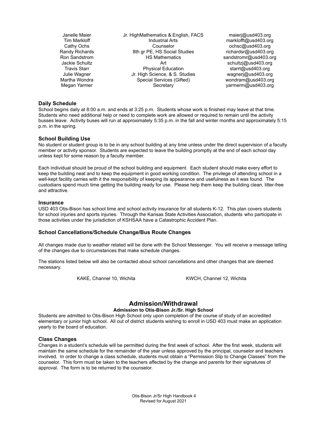Janelle Maier Jr. HighMathematics & English, FACS maierj@usd403.org Tim Markloff **Industrial Arts** marklofft@usd403.org Cathy Ochs Counselor ochsc@usd403.org Randy Richards **8th gr PE, HS Social Studies** richardsr@usd403.org Ron Sandstrom **Example 3.0 THS Mathematics** sandstromr@usd403.org Jackie Schultz **Art** Schultzj@usd403.org **Art** schultzj@usd403.org Travis Starr **Physical Education** starrt@usd403.org **Physical Education** Julie Wagner Jr. High Science, & S. Studies wagnerj@usd403.org Martha Wondra Special Services (Gifted) wondram@usd403.org Megan Yarmer **Secretary** Secretary **Secretary** yarmerm@usd403.org

#### **Daily Schedule**

School begins daily at 8:00 a.m. and ends at 3:25 p.m. Students whose work is finished may leave at that time. Students who need additional help or need to complete work are allowed or required to remain until the activity busses leave. Activity buses will run at approximately 5:35 p.m. in the fall and winter months and approximately 5:15 p.m. in the spring.

#### **School Building Use**

No student or student group is to be in any school building at any time unless under the direct supervision of a faculty member or activity sponsor. Students are expected to leave the building promptly at the end of each school day unless kept for some reason by a faculty member.

Each individual should be proud of the school building and equipment. Each student should make every effort to keep the building neat and to keep the equipment in good working condition. The privilege of attending school in a well-kept facility carries with it the responsibility of keeping its appearance and usefulness as it was found. The custodians spend much time getting the building ready for use. Please help them keep the building clean, litter-free and attractive.

#### **Insurance**

USD 403 Otis-Bison has school time and school activity insurance for all students K-12. This plan covers students for school injuries and sports injuries. Through the Kansas State Activities Association, students who participate in those activities under the jurisdiction of KSHSAA have a Catastrophic Accident Plan.

#### **School Cancellations/Schedule Change/Bus Route Changes**

All changes made due to weather related will be done with the School Messenger. You will receive a message telling of the changes due to circumstances that make schedule changes.

The stations listed below will also be contacted about school cancellations and other changes that are deemed necessary.

KAKE, Channel 10, Wichita KWCH, Channel 12, Wichita

#### **Admission/Withdrawal**

#### **Admission to Otis-Bison Jr./Sr. High School**

Students are admitted to Otis-Bison High School only upon completion of the course of study of an accredited elementary or junior high school. All out of district students wishing to enroll in USD 403 must make an application yearly to the board of education.

#### **Class Changes**

Changes in a student's schedule will be permitted during the first week of school. After the first week, students will maintain the same schedule for the remainder of the year unless approved by the principal, counselor and teachers involved. In order to change a class schedule, students must obtain a "Permission Slip to Change Classes" from the counselor. This form must be taken to the teachers affected by the change and parents for their signatures of approval. The form is to be returned to the counselor.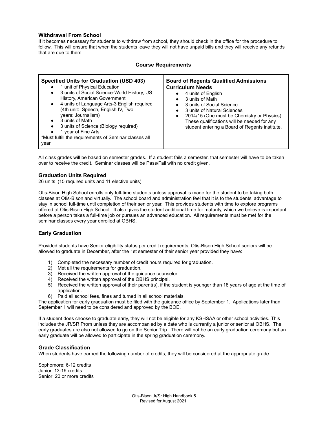#### **Withdrawal From School**

If it becomes necessary for students to withdraw from school, they should check in the office for the procedure to follow. This will ensure that when the students leave they will not have unpaid bills and they will receive any refunds that are due to them.

| <b>Course Requirements</b>                                                                                                                                                                                                                                                                                                                                                                                                                                                         |                                                                                                                                                                                                                                                                                                                                                                                 |  |  |  |
|------------------------------------------------------------------------------------------------------------------------------------------------------------------------------------------------------------------------------------------------------------------------------------------------------------------------------------------------------------------------------------------------------------------------------------------------------------------------------------|---------------------------------------------------------------------------------------------------------------------------------------------------------------------------------------------------------------------------------------------------------------------------------------------------------------------------------------------------------------------------------|--|--|--|
| <b>Specified Units for Graduation (USD 403)</b><br>1 unit of Physical Education<br>$\bullet$<br>3 units of Social Science-World History, US<br>$\bullet$<br>History, American Government<br>4 units of Language Arts-3 English required<br>$\bullet$<br>(4th unit: Speech, English IV, Two<br>years: Journalism)<br>3 units of Math<br>$\bullet$<br>3 units of Science (Biology required)<br>1 year of Fine Arts<br>*Must fulfill the requirements of Seminar classes all<br>year. | <b>Board of Regents Qualified Admissions</b><br><b>Curriculum Needs</b><br>4 units of English<br>3 units of Math<br>$\bullet$<br>3 units of Social Science<br>$\bullet$<br>3 units of Natural Sciences<br>$\bullet$<br>2014/15 (One must be Chemistry or Physics)<br>$\bullet$<br>These qualifications will be needed for any<br>student entering a Board of Regents institute. |  |  |  |

All class grades will be based on semester grades. If a student fails a semester, that semester will have to be taken over to receive the credit. Seminar classes will be Pass/Fail with no credit given.

#### **Graduation Units Required**

26 units (15 required units and 11 elective units)

Otis-Bison High School enrolls only full-time students unless approval is made for the student to be taking both classes at Otis-Bison and virtually. The school board and administration feel that it is to the students' advantage to stay in school full-time until completion of their senior year. This provides students with time to explore programs offered at Otis-Bison High School. It also gives the student additional time for maturity, which we believe is important before a person takes a full-time job or pursues an advanced education. All requirements must be met for the seminar classes every year enrolled at OBHS.

#### **Early Graduation**

Provided students have Senior eligibility status per credit requirements, Otis-Bison High School seniors will be allowed to graduate in December, after the 1st semester of their senior year provided they have:

- 1) Completed the necessary number of credit hours required for graduation.
- 2) Met all the requirements for graduation.
- 3) Received the written approval of the guidance counselor.
- 4) Received the written approval of the OBHS principal.
- 5) Received the written approval of their parent(s), if the student is younger than 18 years of age at the time of application.
- 6) Paid all school fees, fines and turned in all school materials.

The application for early graduation must be filed with the guidance office by September 1. Applications later than September 1 will need to be considered and approved by the BOE.

If a student does choose to graduate early, they will not be eligible for any KSHSAA or other school activities. This includes the JR/SR Prom unless they are accompanied by a date who is currently a junior or senior at OBHS. The early graduates are also not allowed to go on the Senior Trip. There will not be an early graduation ceremony but an early graduate will be allowed to participate in the spring graduation ceremony.

#### **Grade Classification**

When students have earned the following number of credits, they will be considered at the appropriate grade.

Sophomore: 6-12 credits Junior: 13-19 credits Senior: 20 or more credits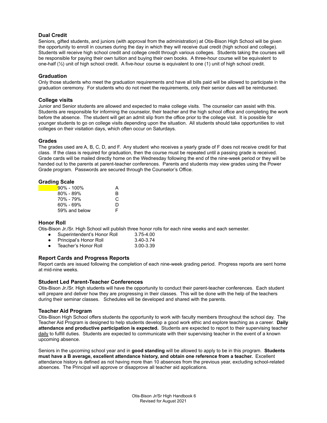#### **Dual Credit**

Seniors, gifted students, and juniors (with approval from the administration) at Otis-Bison High School will be given the opportunity to enroll in courses during the day in which they will receive dual credit (high school and college). Students will receive high school credit and college credit through various colleges. Students taking the courses will be responsible for paying their own tuition and buying their own books. A three-hour course will be equivalent to one-half (½) unit of high school credit. A five-hour course is equivalent to one (1) unit of high school credit.

#### **Graduation**

Only those students who meet the graduation requirements and have all bills paid will be allowed to participate in the graduation ceremony. For students who do not meet the requirements, only their senior dues will be reimbursed.

#### **College visits**

Junior and Senior students are allowed and expected to make college visits. The counselor can assist with this. Students are responsible for informing the counselor, their teacher and the high school office and completing the work before the absence. The student will get an admit slip from the office prior to the college visit. It is possible for younger students to go on college visits depending upon the situation. All students should take opportunities to visit colleges on their visitation days, which often occur on Saturdays.

#### **Grades**

The grades used are A, B, C, D, and F. Any student who receives a yearly grade of F does not receive credit for that class. If the class is required for graduation, then the course must be repeated until a passing grade is received. Grade cards will be mailed directly home on the Wednesday following the end of the nine-week period or they will be handed out to the parents at parent-teacher conferences. Parents and students may view grades using the Power Grade program. Passwords are secured through the Counselor's Office.

#### **Grading Scale**

| $90\% - 100\%$ | A  |
|----------------|----|
| $80\% - 89\%$  | R  |
| 70% - 79%      | C. |
| 60% - 69%      | D  |
| 59% and below  | F  |

#### **Honor Roll**

Otis-Bison Jr./Sr. High School will publish three honor rolls for each nine weeks and each semester.

- Superintendent's Honor Roll 3.75-4.00
- Principal's Honor Roll 3.40-3.74
- Teacher's Honor Roll 3.00-3.39

#### **Report Cards and Progress Reports**

Report cards are issued following the completion of each nine-week grading period. Progress reports are sent home at mid-nine weeks.

#### **Student Led Parent-Teacher Conferences**

Otis-Bison Jr./Sr. High students will have the opportunity to conduct their parent-teacher conferences. Each student will prepare and deliver how they are progressing in their classes. This will be done with the help of the teachers during their seminar classes. Schedules will be developed and shared with the parents.

#### **Teacher Aid Program**

Otis-Bison High School offers students the opportunity to work with faculty members throughout the school day. The Teacher Aid Program is designed to help students develop a good work ethic and explore teaching as a career. **Daily attendance and productive participation is expected.** Students are expected to report to their supervising teacher daily to fulfill duties. Students are expected to communicate with their supervising teacher in the event of a known upcoming absence.

Seniors in the upcoming school year and in **good standing** will be allowed to apply to be in this program. **Students must have a B average, excellent attendance history, and obtain one reference from a teacher.** Excellent attendance history is defined as not having more than 10 absences from the previous year, excluding school-related absences. The Principal will approve or disapprove all teacher aid applications.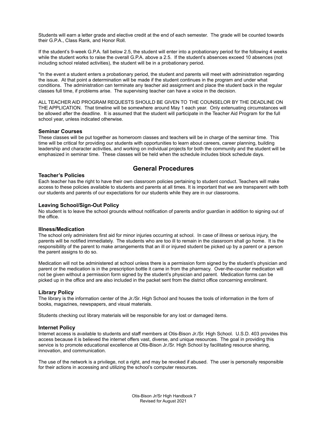Students will earn a letter grade and elective credit at the end of each semester. The grade will be counted towards their G.P.A., Class Rank, and Honor Roll.

If the student's 9-week G.P.A. fall below 2.5, the student will enter into a probationary period for the following 4 weeks while the student works to raise the overall G.P.A. above a 2.5. If the student's absences exceed 10 absences (not including school related activities), the student will be in a probationary period.

\*In the event a student enters a probationary period, the student and parents will meet with administration regarding the issue. At that point a determination will be made if the student continues in the program and under what conditions. The administration can terminate any teacher aid assignment and place the student back in the regular classes full time, if problems arise. The supervising teacher can have a voice in the decision.

ALL TEACHER AID PROGRAM REQUESTS SHOULD BE GIVEN TO THE COUNSELOR BY THE DEADLINE ON THE APPLICATION. That timeline will be somewhere around May 1 each year. Only extenuating circumstances will be allowed after the deadline. It is assumed that the student will participate in the Teacher Aid Program for the full school year, unless indicated otherwise.

#### **Seminar Courses**

These classes will be put together as homeroom classes and teachers will be in charge of the seminar time. This time will be critical for providing our students with opportunities to learn about careers, career planning, building leadership and character activities, and working on individual projects for both the community and the student will be emphasized in seminar time. These classes will be held when the schedule includes block schedule days.

#### **General Procedures**

#### **Teacher's Policies**

Each teacher has the right to have their own classroom policies pertaining to student conduct. Teachers will make access to these policies available to students and parents at all times. It is important that we are transparent with both our students and parents of our expectations for our students while they are in our classrooms.

#### **Leaving School/Sign-Out Policy**

No student is to leave the school grounds without notification of parents and/or guardian in addition to signing out of the office.

#### **Illness/Medication**

The school only administers first aid for minor injuries occurring at school. In case of illness or serious injury, the parents will be notified immediately. The students who are too ill to remain in the classroom shall go home. It is the responsibility of the parent to make arrangements that an ill or injured student be picked up by a parent or a person the parent assigns to do so.

Medication will not be administered at school unless there is a permission form signed by the student's physician and parent or the medication is in the prescription bottle it came in from the pharmacy. Over-the-counter medication will not be given without a permission form signed by the student's physician and parent. Medication forms can be picked up in the office and are also included in the packet sent from the district office concerning enrollment.

#### **Library Policy**

The library is the information center of the Jr./Sr. High School and houses the tools of information in the form of books, magazines, newspapers, and visual materials.

Students checking out library materials will be responsible for any lost or damaged items.

#### **Internet Policy**

Internet access is available to students and staff members at Otis-Bison Jr./Sr. High School. U.S.D. 403 provides this access because it is believed the internet offers vast, diverse, and unique resources. The goal in providing this service is to promote educational excellence at Otis-Bison Jr./Sr. High School by facilitating resource sharing, innovation, and communication.

The use of the network is a privilege, not a right, and may be revoked if abused. The user is personally responsible for their actions in accessing and utilizing the school's computer resources.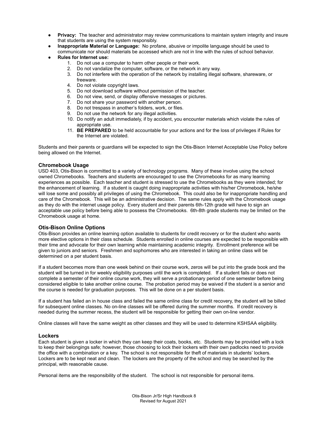- **Privacy:** The teacher and administrator may review communications to maintain system integrity and insure that students are using the system responsibly.
- **Inappropriate Material or Language:** No profane, abusive or impolite language should be used to communicate nor should materials be accessed which are not in line with the rules of school behavior.
- **● Rules for Internet use:**
	- 1. Do not use a computer to harm other people or their work.
	- 2. Do not vandalize the computer, software, or the network in any way.
	- 3. Do not interfere with the operation of the network by installing illegal software, shareware, or freeware.
	- 4. Do not violate copyright laws.
	- 5. Do not download software without permission of the teacher.
	- 6. Do not view, send, or display offensive messages or pictures.
	- 7. Do not share your password with another person.
	- 8. Do not trespass in another's folders, work, or files.
	- 9. Do not use the network for any illegal activities.
	- 10. Do notify an adult immediately, if by accident, you encounter materials which violate the rules of appropriate use.
	- 11. **BE PREPARED** to be held accountable for your actions and for the loss of privileges if Rules for the Internet are violated.

Students and their parents or guardians will be expected to sign the Otis-Bison Internet Acceptable Use Policy before being allowed on the Internet.

#### **Chromebook Usage**

USD 403, Otis-Bison is committed to a variety of technology programs. Many of these involve using the school owned Chromebooks. Teachers and students are encouraged to use the Chromebooks for as many learning experiences as possible. Each teacher and student is stressed to use the Chromebooks as they were intended; for the enhancement of learning. If a student is caught doing inappropriate activities with his/her Chromebook, he/she will lose some and possibly all privileges of using the Chromebook. This could also be for inappropriate handling and care of the Chromebook. This will be an administrative decision. The same rules apply with the Chromebook usage as they do with the internet usage policy. Every student and their parents 6th-12th grade will have to sign an acceptable use policy before being able to possess the Chromebooks. 6th-8th grade students may be limited on the Chromebook usage at home.

#### **Otis-Bison Online Options**

Otis-Bison provides an online learning option available to students for credit recovery or for the student who wants more elective options in their class schedule. Students enrolled in online courses are expected to be responsible with their time and advocate for their own learning while maintaining academic integrity. Enrollment preference will be given to juniors and seniors. Freshmen and sophomores who are interested in taking an online class will be determined on a per student basis.

If a student becomes more than one week behind on their course work, zeros will be put into the grade book and the student will be turned in for weekly eligibility purposes until the work is completed. If a student fails or does not complete a semester of their online course work, they will serve a probationary period of one semester before being considered eligible to take another online course. The probation period may be waived if the student is a senior and the course is needed for graduation purposes. This will be done on a per student basis.

If a student has failed an in house class and failed the same online class for credit recovery, the student will be billed for subsequent online classes. No on-line classes will be offered during the summer months. If credit recovery is needed during the summer recess, the student will be responsible for getting their own on-line vendor.

Online classes will have the same weight as other classes and they will be used to determine KSHSAA eligibility.

#### **Lockers**

Each student is given a locker in which they can keep their coats, books, etc. Students may be provided with a lock to keep their belongings safe; however, those choosing to lock their lockers with their own padlocks need to provide the office with a combination or a key. The school is not responsible for theft of materials in students' lockers. Lockers are to be kept neat and clean. The lockers are the property of the school and may be searched by the principal, with reasonable cause.

Personal items are the responsibility of the student. The school is not responsible for personal items.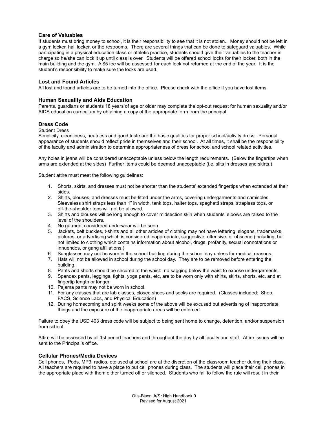#### **Care of Valuables**

If students must bring money to school, it is their responsibility to see that it is not stolen. Money should not be left in a gym locker, hall locker, or the restrooms. There are several things that can be done to safeguard valuables. While participating in a physical education class or athletic practice, students should give their valuables to the teacher in charge so he/she can lock it up until class is over. Students will be offered school locks for their locker, both in the main building and the gym. A \$5 fee will be assessed for each lock not returned at the end of the year. It is the student's responsibility to make sure the locks are used.

#### **Lost and Found Articles**

All lost and found articles are to be turned into the office. Please check with the office if you have lost items.

#### **Human Sexuality and Aids Education**

Parents, guardians or students 18 years of age or older may complete the opt-out request for human sexuality and/or AIDS education curriculum by obtaining a copy of the appropriate form from the principal.

#### **Dress Code**

#### Student Dress

Simplicity, cleanliness, neatness and good taste are the basic qualities for proper school/activity dress. Personal appearance of students should reflect pride in themselves and their school. At all times, it shall be the responsibility of the faculty and administration to determine appropriateness of dress for school and school related activities.

Any holes in jeans will be considered unacceptable unless below the length requirements. (Below the fingertips when arms are extended at the sides) Further items could be deemed unacceptable (i.e. slits in dresses and skirts.)

Student attire must meet the following guidelines:

- 1. Shorts, skirts, and dresses must not be shorter than the students' extended fingertips when extended at their sides.
- 2. Shirts, blouses, and dresses must be fitted under the arms, covering undergarments and camisoles. Sleeveless shirt straps less than 1" in width, tank tops, halter tops, spaghetti straps, strapless tops, or off-the-shoulder tops will not be allowed.
- 3. Shirts and blouses will be long enough to cover midsection skin when students' elbows are raised to the level of the shoulders.
- 4. No garment considered underwear will be seen.
- 5. Jackets, belt buckles, t-shirts and all other articles of clothing may not have lettering, slogans, trademarks, pictures, or advertising which is considered inappropriate, suggestive, offensive, or obscene (including, but not limited to clothing which contains information about alcohol, drugs, profanity, sexual connotations or innuendos, or gang affiliations.)
- 6. Sunglasses may not be worn in the school building during the school day unless for medical reasons.
- 7. Hats will not be allowed in school during the school day. They are to be removed before entering the building.
- 8. Pants and shorts should be secured at the waist: no sagging below the waist to expose undergarments.
- 9. Spandex pants, leggings, tights, yoga pants, etc, are to be worn only with shirts, skirts, shorts, etc. and at fingertip length or longer.
- 10. Pajama pants may not be worn in school.
- 11. For any classes that are lab classes, closed shoes and socks are required. (Classes included: Shop, FACS, Science Labs, and Physical Education)
- 12. During homecoming and spirit weeks some of the above will be excused but advertising of inappropriate things and the exposure of the inappropriate areas will be enforced.

Failure to obey the USD 403 dress code will be subject to being sent home to change, detention, and/or suspension from school.

Attire will be assessed by all 1st period teachers and throughout the day by all faculty and staff. Attire issues will be sent to the Principal's office.

#### **Cellular Phones/Media Devices**

Cell phones, IPods, MP3, radios, etc used at school are at the discretion of the classroom teacher during their class. All teachers are required to have a place to put cell phones during class. The students will place their cell phones in the appropriate place with them either turned off or silenced. Students who fail to follow the rule will result in their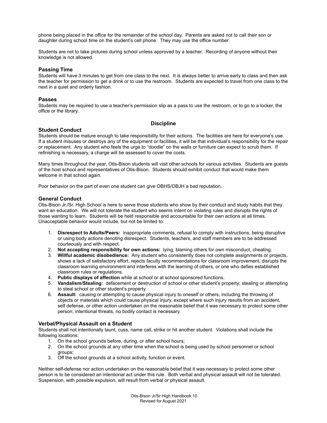phone being placed in the office for the remainder of the school day. Parents are asked not to call their son or daughter during school time on the student's cell phone. They may use the office number.

Students are not to take pictures during school unless approved by a teacher. Recording of anyone without their knowledge is not allowed.

#### **Passing Time**

Students will have 3 minutes to get from one class to the next. It is always better to arrive early to class and then ask the teacher for permission to get a drink or to use the restroom. Students are expected to travel from one class to the next in a quiet and orderly fashion.

#### **Passes**

Students may be required to use a teacher's permission slip as a pass to use the restroom, or to go to a locker, the office or the library.

#### **Discipline**

#### **Student Conduct**

Students should be mature enough to take responsibility for their actions. The facilities are here for everyone's use. If a student misuses or destroys any of the equipment or facilities, it will be that individual's responsibility for the repair or replacement. Any student who feels the urge to "doodle" on the walls or furniture can expect to scrub them. If refinishing is necessary, a charge will be assessed to cover the costs.

Many times throughout the year, Otis-Bison students will visit other schools for various activities. Students are guests of the host school and representatives of Otis-Bison. Students should exhibit conduct that would make them welcome in that school again.

Poor behavior on the part of even one student can give OBHS/OBJH a bad reputation.

#### **General Conduct**

Otis-Bison Jr./Sr. High School is here to serve those students who show by their conduct and study habits that they want an education. We will not tolerate the student who seems intent on violating rules and disrupts the rights of those wanting to learn. Students will be held responsible and accountable for their own actions at all times. Unacceptable behavior would include, but not be limited to:

- 1. **Disrespect to Adults/Peers:** inappropriate comments, refusal to comply with instructions, being disruptive or using body actions denoting disrespect. Students, teachers, and staff members are to be addressed courteously and with respect.
- 2. **Not accepting responsibility for own actions:** lying, blaming others for own misconduct, cheating.
- 3. **Willful academic disobedience:** Any student who consistently does not complete assignments or projects, shows a lack of satisfactory effort, rejects faculty recommendations for classroom improvement, disrupts the classroom learning environment and interferes with the learning of others, or one who defies established classroom rules or regulations.
- 4. **Public displays of affection** while at school or at school sponsored functions.
- 5. **Vandalism/Stealing:** defacement or destruction of school or other student's property; stealing or attempting to steal school or other student's property.
- 6. **Assault:** causing or attempting to cause physical injury to oneself or others, including the throwing of objects or materials which could cause physical injury, except where such injury results from an accident, self defense, or other action undertaken on the reasonable belief that it was necessary to protect some other person; intentional threats, no bodily contact is necessary.

#### **Verbal/Physical Assault on a Student**

Students shall not intentionally taunt, cuss, name call, strike or hit another student. Violations shall include the following locations:

- 1. On the school grounds before, during, or after school hours;
- 2. On the school grounds at any other time when the school is being used by school personnel or school groups;
- 3. Off the school grounds at a school activity, function or event.

Neither self-defense nor action undertaken on the reasonable belief that it was necessary to protect some other person is to be considered an intentional act under this rule. Both verbal and physical assault will not be tolerated. Suspension, with possible expulsion, will result from verbal or physical assault.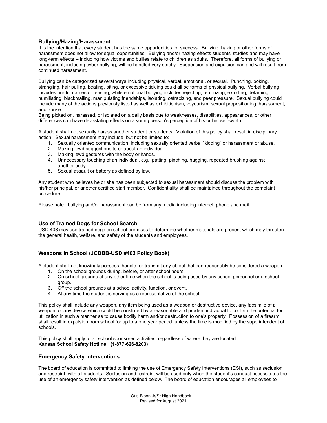#### **Bullying/Hazing/Harassment**

It is the intention that every student has the same opportunities for success. Bullying, hazing or other forms of harassment does not allow for equal opportunities. Bullying and/or hazing effects students' studies and may have long-term effects -- including how victims and bullies relate to children as adults. Therefore, all forms of bullying or harassment, including cyber bullying, will be handled very strictly. Suspension and expulsion can and will result from continued harassment.

Bullying can be categorized several ways including physical, verbal, emotional, or sexual. Punching, poking, strangling, hair pulling, beating, biting, or excessive tickling could all be forms of physical bullying. Verbal bullying includes hurtful names or teasing, while emotional bullying includes rejecting, terrorizing, extorting, defaming, humiliating, blackmailing, manipulating friendships, isolating, ostracizing, and peer pressure. Sexual bullying could include many of the actions previously listed as well as exhibitionism, voyeurism, sexual propositioning, harassment, and abuse.

Being picked on, harassed, or isolated on a daily basis due to weaknesses, disabilities, appearances, or other differences can have devastating effects on a young person's perception of his or her self-worth.

A student shall not sexually harass another student or students. Violation of this policy shall result in disciplinary action. Sexual harassment may include, but not be limited to:

- 1. Sexually oriented communication, including sexually oriented verbal "kidding" or harassment or abuse.
- 2. Making lewd suggestions to or about an individual.
- 3. Making lewd gestures with the body or hands.
- 4. Unnecessary touching of an individual, e.g., patting, pinching, hugging, repeated brushing against another body.
- 5. Sexual assault or battery as defined by law.

Any student who believes he or she has been subjected to sexual harassment should discuss the problem with his/her principal, or another certified staff member. Confidentiality shall be maintained throughout the complaint procedure.

Please note: bullying and/or harassment can be from any media including internet, phone and mail.

#### **Use of Trained Dogs for School Search**

USD 403 may use trained dogs on school premises to determine whether materials are present which may threaten the general health, welfare, and safety of the students and employees.

#### **Weapons in School (JCDBB-USD #403 Policy Book)**

A student shall not knowingly possess, handle, or transmit any object that can reasonably be considered a weapon:

- 1. On the school grounds during, before, or after school hours.
- 2. On school grounds at any other time when the school is being used by any school personnel or a school group.
- 3. Off the school grounds at a school activity, function, or event.
- 4. At any time the student is serving as a representative of the school.

This policy shall include any weapon, any item being used as a weapon or destructive device, any facsimile of a weapon, or any device which could be construed by a reasonable and prudent individual to contain the potential for utilization in such a manner as to cause bodily harm and/or destruction to one's property. Possession of a firearm shall result in expulsion from school for up to a one year period, unless the time is modified by the superintendent of schools.

This policy shall apply to all school sponsored activities, regardless of where they are located. **Kansas School Safety Hotline: (1-877-626-8203)**

#### **Emergency Safety Interventions**

The board of education is committed to limiting the use of Emergency Safety Interventions (ESI), such as seclusion and restraint, with all students. Seclusion and restraint will be used only when the student's conduct necessitates the use of an emergency safety intervention as defined below. The board of education encourages all employees to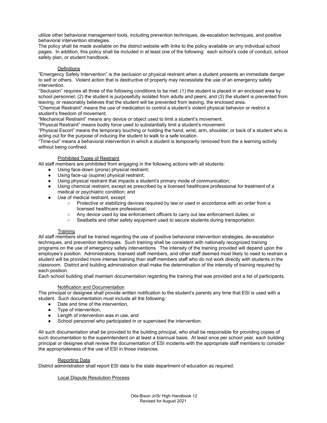utilize other behavioral management tools, including prevention techniques, de-escalation techniques, and positive behavioral intervention strategies.

The policy shall be made available on the district website with links to the policy available on any individual school pages. In addition, this policy shall be included in at least one of the following: each school's code of conduct, school safety plan, or student handbook.

#### **Definitions**

"Emergency Safety Intervention" is the seclusion or physical restraint when a student presents an immediate danger to self or others. Violent action that is destructive of property may necessitate the use of an emergency safety intervention.

"Seclusion" requires all three of the following conditions to be met: (1) the student is placed in an enclosed area by school personnel; (2) the student is purposefully isolated from adults and peers; and (3) the student is prevented from leaving, or reasonably believes that the student will be prevented from leaving, the enclosed area.

"Chemical Restraint" means the use of medication to control a student's violent physical behavior or restrict a student's freedom of movement.

"Mechanical Restraint" means any device or object used to limit a student's movement.

"Physical Restraint" means bodily force used to substantially limit a student's movement

"Physical Escort" means the temporary touching or holding the hand, wrist, arm, shoulder, or back of a student who is acting out for the purpose of inducing the student to walk to a safe location.

"Time-out" means a behavioral intervention in which a student is temporarily removed from the a learning activity without being confined.

#### Prohibited Types of Restraint

All staff members are prohibited from engaging in the following actions with all students:

- Using face-down (prone) physical restraint;
- Using face-up (supine) physical restraint;
- Using physical restraint that impacts a student's primary mode of communication;
- Using chemical restraint, except as prescribed by a licensed healthcare professional for treatment of a medical or psychiatric condition; and
- Use of medical restraint, except:
	- Protective or stabilizing devices required by law or used in accordance with an order from a licensed healthcare professional;
	- Any device used by law enforcement officers to carry out law enforcement duties; or
	- Seatbelts and other safety equipment used to secure students during transportation.

#### **Training**

All staff members shall be trained regarding the use of positive behavioral intervention strategies, de-escalation techniques, and prevention techniques. Such training shall be consistent with nationally recognized training programs on the use of emergency safety interventions. The intensity of the training provided will depend upon the employee's position. Administrators, licensed staff members, and other staff deemed most likely to need to restrain a student will be provided more intense training than staff members staff who do not work directly with students in the classroom. District and building administration shall make the determination of the intensity of training required by each position.

Each school building shall maintain documentation regarding the training that was provided and a list of participants.

#### Notification and Documentation

The principal or designee shall provide written notification to the student's parents any time that ESI is used with a student. Such documentation must include all the following:

- Date and time of the intervention,
- Type of intervention,
- Length of intervention was in use, and
- School personnel who participated in or supervised the intervention.

All such documentation shall be provided to the building principal, who shall be responsible for providing copies of such documentation to the superintendent on at least a biannual basis. At least once per school year, each building principal or designee shall review the documentation of ESI incidents with the appropriate staff members to consider the appropriateness of the use of ESI in those instances.

#### Reporting Data

District administration shall report ESI data to the state department of education as required.

#### Local Dispute Resolution Process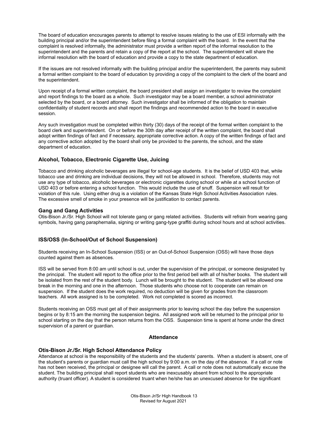The board of education encourages parents to attempt to resolve issues relating to the use of ESI informally with the building principal and/or the superintendent before filing a formal complaint with the board. In the event that the complaint is resolved informally, the administrator must provide a written report of the informal resolution to the superintendent and the parents and retain a copy of the report at the school. The superintendent will share the informal resolution with the board of education and provide a copy to the state department of education.

If the issues are not resolved informally with the building principal and/or the superintendent, the parents may submit a formal written complaint to the board of education by providing a copy of the complaint to the clerk of the board and the superintendent.

Upon receipt of a formal written complaint, the board president shall assign an investigator to review the complaint and report findings to the board as a whole. Such investigator may be a board member, a school administrator selected by the board, or a board attorney. Such investigator shall be informed of the obligation to maintain confidentiality of student records and shall report the findings and recommended action to the board in executive session.

Any such investigation must be completed within thirty (30) days of the receipt of the formal written complaint to the board clerk and superintendent. On or before the 30th day after receipt of the written complaint, the board shall adopt written findings of fact and if necessary, appropriate corrective action. A copy of the written findings of fact and any corrective action adopted by the board shall only be provided to the parents, the school, and the state department of education.

#### **Alcohol, Tobacco, Electronic Cigarette Use, Juicing**

Tobacco and drinking alcoholic beverages are illegal for school-age students. It is the belief of USD 403 that, while tobacco use and drinking are individual decisions, they will not be allowed in school. Therefore, students may not use any type of tobacco, alcoholic beverages or electronic cigarettes during school or while at a school function of USD 403 or before entering a school function. This would include the use of snuff. Suspension will result for violation of this rule. Using either drug is a violation of the Kansas State High School Activities Association rules. The excessive smell of smoke in your presence will be justification to contact parents.

#### **Gang and Gang Activities**

Otis-Bison Jr./Sr. High School will not tolerate gang or gang related activities. Students will refrain from wearing gang symbols, having gang paraphernalia, signing or writing gang-type graffiti during school hours and at school activities.

#### **ISS/OSS (In-School/Out of School Suspension)**

Students receiving an In-School Suspension (ISS) or an Out-of-School Suspension (OSS) will have those days counted against them as absences.

ISS will be served from 8:00 am until school is out, under the supervision of the principal, or someone designated by the principal. The student will report to the office prior to the first period bell with all of his/her books. The student will be isolated from the rest of the student body. Lunch will be brought to the student. The student will be allowed one break in the morning and one in the afternoon. Those students who choose not to cooperate can remain on suspension. If the student does the work required, no deduction will be given for grades from the classroom teachers. All work assigned is to be completed. Work not completed is scored as incorrect.

Students receiving an OSS must get all of their assignments prior to leaving school the day before the suspension begins or by 8:15 am the morning the suspension begins. All assigned work will be returned to the principal prior to school starting on the day that the person returns from the OSS. Suspension time is spent at home under the direct supervision of a parent or guardian.

#### **Attendance**

#### **Otis-Bison Jr./Sr. High School Attendance Policy**

Attendance at school is the responsibility of the students and the students' parents. When a student is absent, one of the student's parents or guardian must call the high school by 9:00 a.m. on the day of the absence. If a call or note has not been received, the principal or designee will call the parent. A call or note does not automatically excuse the student. The building principal shall report students who are inexcusably absent from school to the appropriate authority (truant officer). A student is considered truant when he/she has an unexcused absence for the significant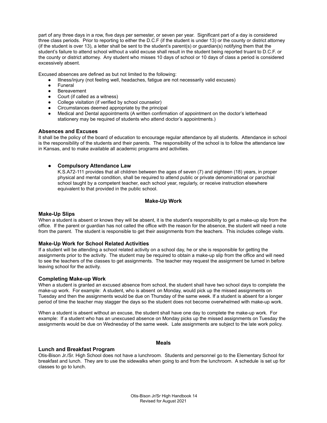part of any three days in a row, five days per semester, or seven per year. Significant part of a day is considered three class periods. Prior to reporting to either the D.C.F (if the student is under 13) or the county or district attorney (if the student is over 13), a letter shall be sent to the student's parent(s) or guardian(s) notifying them that the student's failure to attend school without a valid excuse shall result in the student being reported truant to D.C.F. or the county or district attorney. Any student who misses 10 days of school or 10 days of class a period is considered excessively absent.

Excused absences are defined as but not limited to the following:

- Illness/injury (not feeling well, headaches, fatigue are not necessarily valid excuses)
- **Funeral**
- **Bereavement**
- Court (if called as a witness)
- College visitation (if verified by school counselor)
- Circumstances deemed appropriate by the principal
- Medical and Dental appointments (A written confirmation of appointment on the doctor's letterhead stationery may be required of students who attend doctor's appointments.)

#### **Absences and Excuses**

It shall be the policy of the board of education to encourage regular attendance by all students. Attendance in school is the responsibility of the students and their parents. The responsibility of the school is to follow the attendance law in Kansas, and to make available all academic programs and activities.

#### **● Compulsory Attendance Law**

K.S.A72-111 provides that all children between the ages of seven (7) and eighteen (18) years, in proper physical and mental condition, shall be required to attend public or private denominational or parochial school taught by a competent teacher, each school year, regularly, or receive instruction elsewhere equivalent to that provided in the public school.

#### **Make-Up Work**

#### **Make-Up Slips**

When a student is absent or knows they will be absent, it is the student's responsibility to get a make-up slip from the office. If the parent or guardian has not called the office with the reason for the absence, the student will need a note from the parent. The student is responsible to get their assignments from the teachers. This includes college visits.

#### **Make-Up Work for School Related Activities**

If a student will be attending a school related activity on a school day, he or she is responsible for getting the assignments prior to the activity. The student may be required to obtain a make-up slip from the office and will need to see the teachers of the classes to get assignments. The teacher may request the assignment be turned in before leaving school for the activity.

#### **Completing Make-up Work**

When a student is granted an excused absence from school, the student shall have two school days to complete the make-up work. For example: A student, who is absent on Monday, would pick up the missed assignments on Tuesday and then the assignments would be due on Thursday of the same week. If a student is absent for a longer period of time the teacher may stagger the days so the student does not become overwhelmed with make-up work.

When a student is absent without an excuse, the student shall have one day to complete the make-up work. For example: If a student who has an unexcused absence on Monday picks up the missed assignments on Tuesday the assignments would be due on Wednesday of the same week. Late assignments are subject to the late work policy.

#### **Meals**

#### **Lunch and Breakfast Program**

Otis-Bison Jr./Sr. High School does not have a lunchroom. Students and personnel go to the Elementary School for breakfast and lunch. They are to use the sidewalks when going to and from the lunchroom. A schedule is set up for classes to go to lunch.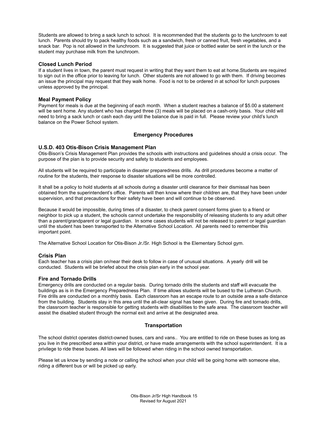Students are allowed to bring a sack lunch to school. It is recommended that the students go to the lunchroom to eat lunch. Parents should try to pack healthy foods such as a sandwich, fresh or canned fruit, fresh vegetables, and a snack bar. Pop is not allowed in the lunchroom. It is suggested that juice or bottled water be sent in the lunch or the student may purchase milk from the lunchroom.

#### **Closed Lunch Period**

If a student lives in town, the parent must request in writing that they want them to eat at home.Students are required to sign out in the office prior to leaving for lunch. Other students are not allowed to go with them. If driving becomes an issue the principal may request that they walk home. Food is not to be ordered in at school for lunch purposes unless approved by the principal.

#### **Meal Payment Policy**

Payment for meals is due at the beginning of each month. When a student reaches a balance of \$5.00 a statement will be sent home. Any student who has charged three (3) meals will be placed on a cash-only basis. Your child will need to bring a sack lunch or cash each day until the balance due is paid in full. Please review your child's lunch balance on the Power School system.

#### **Emergency Procedures**

#### **U.S.D. 403 Otis-Bison Crisis Management Plan**

Otis-Bison's Crisis Management Plan provides the schools with instructions and guidelines should a crisis occur. The purpose of the plan is to provide security and safety to students and employees.

All students will be required to participate in disaster preparedness drills. As drill procedures become a matter of routine for the students, their response to disaster situations will be more controlled.

It shall be a policy to hold students at all schools during a disaster until clearance for their dismissal has been obtained from the superintendent's office. Parents will then know where their children are, that they have been under supervision, and that precautions for their safety have been and will continue to be observed.

Because it would be impossible, during times of a disaster, to check parent consent forms given to a friend or neighbor to pick up a student, the schools cannot undertake the responsibility of releasing students to any adult other than a parent/grandparent or legal guardian. In some cases students will not be released to parent or legal guardian until the student has been transported to the Alternative School Location. All parents need to remember this important point.

The Alternative School Location for Otis-Bison Jr./Sr. High School is the Elementary School gym.

#### **Crisis Plan**

Each teacher has a crisis plan on/near their desk to follow in case of unusual situations. A yearly drill will be conducted. Students will be briefed about the crisis plan early in the school year.

#### **Fire and Tornado Drills**

Emergency drills are conducted on a regular basis. During tornado drills the students and staff will evacuate the buildings as is in the Emergency Preparedness Plan. If time allows students will be bused to the Lutheran Church. Fire drills are conducted on a monthly basis. Each classroom has an escape route to an outside area a safe distance from the building. Students stay in this area until the all-clear signal has been given. During fire and tornado drills, the classroom teacher is responsible for getting students with disabilities to the safe area. The classroom teacher will assist the disabled student through the normal exit and arrive at the designated area.

#### **Transportation**

The school district operates district-owned buses, cars and vans.. You are entitled to ride on these buses as long as you live in the prescribed area within your district, or have made arrangements with the school superintendent. It is a privilege to ride these buses. All laws will be followed when riding in the school owned transportation.

Please let us know by sending a note or calling the school when your child will be going home with someone else, riding a different bus or will be picked up early.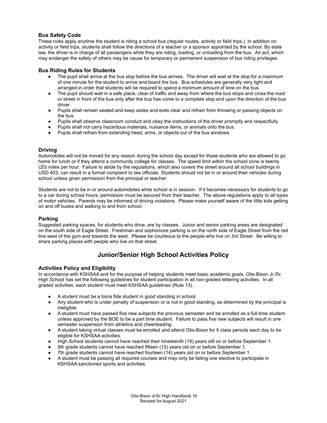#### **Bus Safety Code**

These rules apply anytime the student is riding a school bus (regular routes, activity or field trips.) In addition on activity or field trips, students shall follow the directions of a teacher or a sponsor appointed by the school. By state law, the driver is in charge of all passengers while they are riding, loading, or unloading from the bus. An act, which may endanger the safety of others may be cause for temporary or permanent suspension of bus riding privileges.

#### **Bus Riding Rules for Students**

- The pupil shall arrive at the bus stop before the bus arrives. The driver will wait at the stop for a maximum of one minute for the student to arrive and board the bus. Bus schedules are generally very tight and arranged in order that students will be required to spend a minimum amount of time on the bus.
- The pupil should wait in a safe place, clear of traffic and away from where the bus stops and cross the road or street in front of the bus only after the bus has come to a complete stop and upon the direction of the bus driver.
- Pupils shall remain seated and keep aisles and exits clear and refrain from throwing or passing objects on the bus.
- Pupils shall observe classroom conduct and obey the instructions of the driver promptly and respectfully.
- Pupils shall not carry hazardous materials, nuisance items, or animals onto the bus.
- Pupils shall refrain from extending head, arms, or objects out of the bus windows.

#### **Driving**

Automobiles will not be moved for any reason during the school day except for those students who are allowed to go home for lunch or if they attend a community college for classes. The speed limit within the school zone is twenty (20) miles per hour. Failure to abide by the regulations, which also covers the street around all school buildings in USD 403, can result in a formal complaint to law officials. Students should not be in or around their vehicles during school unless given permission from the principal or teacher.

Students are not to be in or around automobiles while school is in session. If it becomes necessary for students to go to a car during school hours, permission must be secured from their teacher. The above regulations apply to all types of motor vehicles. Parents may be informed of driving violations. Please make yourself aware of the little kids getting on and off buses and walking to and from school.

#### **Parking**

Suggested parking spaces, for students who drive, are by classes. Junior and senior parking areas are designated on the south side of Eagle Street. Freshman and sophomore parking is on the north side of Eagle Street from the red line west of the gym and towards the west. Please be courteous to the people who live on 3rd Street. Be willing to share parking places with people who live on that street.

#### **Junior/Senior High School Activities Policy**

#### **Activities Policy and Eligibility**

In accordance with KSHSAA and for the purpose of helping students meet basic academic goals, Otis-Bison Jr./Sr. High School has set the following guidelines for student participation in all non-graded lettering activities. In all graded activities, each student must meet KSHSAA guidelines (Rule 13).

- A student must be a bona fide student in good standing in school.
- Any student who is under penalty of suspension or is not in good standing, as determined by the principal is ineligible.
- A student must have passed five new subjects the previous semester and be enrolled as a full-time student unless approved by the BOE to be a part time student. Failure to pass five new subjects will result in one semester suspension from athletics and cheerleading.
- A student taking virtual classes must be enrolled and attend Otis-Bison for 5 class periods each day to be eligible for KSHSAA activities.
- High School students cannot have reached their nineteenth (19) years old on or before September 1.
- 8th grade students cannot have reached fifteen (15) years old on or before September 1.
- 7th grade students cannot have reached fourteen (14) years old on or before September 1.
- A student must be passing all required courses and may only be failing one elective to participate in KSHSAA sanctioned sports and activities.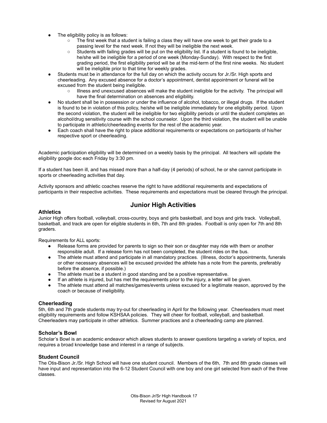- The eligibility policy is as follows:
	- The first week that a student is failing a class they will have one week to get their grade to a passing level for the next week. If not they will be ineligible the next week.
	- Students with failing grades will be put on the eligibility list. If a student is found to be ineligible, he/she will be ineligible for a period of one week (Monday-Sunday). With respect to the first grading period, the first eligibility period will be at the mid-term of the first nine weeks. No student will be ineligible prior to that time for weekly grades.
- Students must be in attendance for the full day on which the activity occurs for Jr./Sr. High sports and cheerleading. Any excused absence for a doctor's appointment, dentist appointment or funeral will be excused from the student being ineligible.
	- Illness and unexcused absences will make the student ineligible for the activity. The principal will have the final determination on absences and eligibility.
- No student shall be in possession or under the influence of alcohol, tobacco, or illegal drugs. If the student is found to be in violation of this policy, he/she will be ineligible immediately for one eligibility period. Upon the second violation, the student will be ineligible for two eligibility periods or until the student completes an alcohol/drug sensitivity course with the school counselor. Upon the third violation, the student will be unable to participate in athletic/cheerleading events for the rest of the academic year.
- Each coach shall have the right to place additional requirements or expectations on participants of his/her respective sport or cheerleading.

Academic participation eligibility will be determined on a weekly basis by the principal. All teachers will update the eligibility google doc each Friday by 3:30 pm.

If a student has been ill, and has missed more than a half-day (4 periods) of school, he or she cannot participate in sports or cheerleading activities that day.

Activity sponsors and athletic coaches reserve the right to have additional requirements and expectations of participants in their respective activities. These requirements and expectations must be cleared through the principal.

#### **Junior High Activities**

#### **Athletics**

Junior High offers football, volleyball, cross-country, boys and girls basketball, and boys and girls track. Volleyball, basketball, and track are open for eligible students in 6th, 7th and 8th grades. Football is only open for 7th and 8th graders.

Requirements for ALL sports:

- Release forms are provided for parents to sign so their son or daughter may ride with them or another responsible adult. If a release form has not been completed, the student rides on the bus.
- The athlete must attend and participate in all mandatory practices. (Illness, doctor's appointments, funerals or other necessary absences will be excused provided the athlete has a note from the parents, preferably before the absence, if possible.)
- The athlete must be a student in good standing and be a positive representative.
- If an athlete is injured, but has met the requirements prior to the injury, a letter will be given.
- The athlete must attend all matches/games/events unless excused for a legitimate reason, approved by the coach or because of ineligibility.

#### **Cheerleading**

5th, 6th and 7th grade students may try-out for cheerleading in April for the following year. Cheerleaders must meet eligibility requirements and follow KSHSAA policies. They will cheer for football, volleyball, and basketball. Cheerleaders may participate in other athletics. Summer practices and a cheerleading camp are planned.

#### **Scholar's Bowl**

Scholar's Bowl is an academic endeavor which allows students to answer questions targeting a variety of topics, and requires a broad knowledge base and interest in a range of subjects.

#### **Student Council**

The Otis-Bison Jr./Sr. High School will have one student council. Members of the 6th, 7th and 8th grade classes will have input and representation into the 6-12 Student Council with one boy and one girl selected from each of the three classes.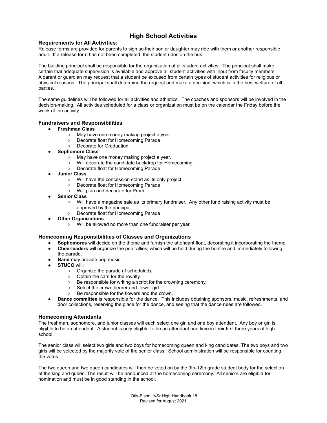#### **High School Activities**

#### **Requirements for All Activities:**

Release forms are provided for parents to sign so their son or daughter may ride with them or another responsible adult. If a release form has not been completed, the student rides on the bus.

The building principal shall be responsible for the organization of all student activities. The principal shall make certain that adequate supervision is available and approve all student activities with input from faculty members. A parent or guardian may request that a student be excused from certain types of student activities for religious or physical reasons. The principal shall determine the request and make a decision, which is in the best welfare of all parties.

The same guidelines will be followed for all activities and athletics. The coaches and sponsors will be involved in the decision-making. All activities scheduled for a class or organization must be on the calendar the Friday before the week of the activity.

#### **Fundraisers and Responsibilities**

- **● Freshman Class**
	- May have one money making project a year.
	- Decorate float for Homecoming Parade
	- Decorate for Graduation
- **● Sophomore Class**
	- May have one money making project a year.
	- Will decorate the candidate backdrop for Homecoming.
	- Decorate float for Homecoming Parade
- **● Junior Class**
	- Will have the concession stand as its only project.
	- Decorate float for Homecoming Parade
	- Will plan and decorate for Prom.
- **● Senior Class**
	- Will have a magazine sale as its primary fundraiser. Any other fund raising activity must be approved by the principal.
	- Decorate float for Homecoming Parade
	- **Other Organizations**
		- Will be allowed no more than one fundraiser per year.

#### **Homecoming Responsibilities of Classes and Organizations**

- **Sophomores** will decide on the theme and furnish the attendant float, decorating it incorporating the theme.
- **Cheerleaders** will organize the pep rallies, which will be held during the bonfire and immediately following the parade.
- **Band** may provide pep music.
- **STUCO** will:
	- Organize the parade (if scheduled).
	-
	- Obtain the cars for the royalty.<br>○ Be responsible for writing a scr Be responsible for writing a script for the crowning ceremony.
	- Select the crown bearer and flower girl.
	- Be responsible for the flowers and the crown.
- **Dance committee** is responsible for the dance. This includes obtaining sponsors, music, refreshments, and door collections, reserving the place for the dance, and seeing that the dance rules are followed.

#### **Homecoming Attendants**

The freshman, sophomore, and junior classes will each select one girl and one boy attendant. Any boy or girl is eligible to be an attendant. A student is only eligible to be an attendant one time in their first three years of high school.

The senior class will select two girls and two boys for homecoming queen and king candidates. The two boys and two girls will be selected by the majority vote of the senior class. School administration will be responsible for counting the votes.

The two queen and two queen candidates will then be voted on by the 9th-12th grade student body for the selection of the king and queen. The result will be announced at the homecoming ceremony. All seniors are eligible for nomination and must be in good standing in the school.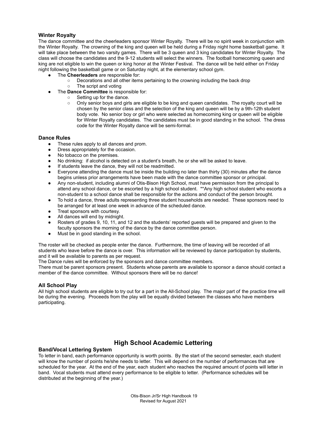#### **Winter Royalty**

The dance committee and the cheerleaders sponsor Winter Royalty. There will be no spirit week in conjunction with the Winter Royalty. The crowning of the king and queen will be held during a Friday night home basketball game. It will take place between the two varsity games. There will be 3 queen and 3 king candidates for Winter Royalty. The class will choose the candidates and the 9-12 students will select the winners. The football homecoming queen and king are not eligible to win the queen or king honor at the Winter Festival. The dance will be held either on Friday night following the basketball game or on Saturday night, at the elementary school gym.

- The **Cheerleaders** are responsible for:
	- Decorations and all other items pertaining to the crowning including the back drop
- The script and voting
- The **Dance Committee** is responsible for:
	- Setting up for the dance.
	- Only senior boys and girls are eligible to be king and queen candidates. The royalty court will be chosen by the senior class and the selection of the king and queen will be by a 9th-12th student body vote. No senior boy or girl who were selected as homecoming king or queen will be eligible for Winter Royalty candidates. The candidates must be in good standing in the school. The dress code for the Winter Royalty dance will be semi-formal.

#### **Dance Rules**

- These rules apply to all dances and prom.
- Dress appropriately for the occasion.
- No tobacco on the premises.
- No drinking: if alcohol is detected on a student's breath, he or she will be asked to leave.
- If students leave the dance, they will not be readmitted.
- Everyone attending the dance must be inside the building no later than thirty (30) minutes after the dance begins unless prior arrangements have been made with the dance committee sponsor or principal.
- Any non-student, including alumni of Otis-Bison High School, must have permission from the principal to attend any school dance, or be escorted by a high school student. \*\*Any high school student who escorts a non-student to a school dance shall be responsible for the actions and conduct of the person brought.
- To hold a dance, three adults representing three student households are needed. These sponsors need to be arranged for at least one week in advance of the scheduled dance.
- Treat sponsors with courtesy.
- All dances will end by midnight.
- Rosters of grades 9, 10, 11, and 12 and the students' reported guests will be prepared and given to the faculty sponsors the morning of the dance by the dance committee person.
- Must be in good standing in the school.

The roster will be checked as people enter the dance. Furthermore, the time of leaving will be recorded of all students who leave before the dance is over. This information will be reviewed by dance participation by students, and it will be available to parents as per request.

The Dance rules will be enforced by the sponsors and dance committee members.

There must be parent sponsors present. Students whose parents are available to sponsor a dance should contact a member of the dance committee. Without sponsors there will be no dance!

#### **All School Play**

All high school students are eligible to try out for a part in the All-School play. The major part of the practice time will be during the evening. Proceeds from the play will be equally divided between the classes who have members participating.

#### **High School Academic Lettering**

#### **Band/Vocal Lettering System**

To letter in band, each performance opportunity is worth points. By the start of the second semester, each student will know the number of points he/she needs to letter. This will depend on the number of performances that are scheduled for the year. At the end of the year, each student who reaches the required amount of points will letter in band. Vocal students must attend every performance to be eligible to letter. (Performance schedules will be distributed at the beginning of the year.)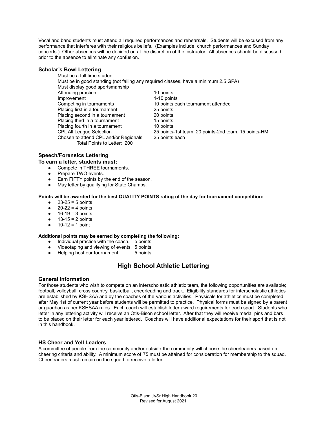Vocal and band students must attend all required performances and rehearsals. Students will be excused from any performance that interferes with their religious beliefs. (Examples include: church performances and Sunday concerts.) Other absences will be decided on at the discretion of the instructor. All absences should be discussed prior to the absence to eliminate any confusion.

#### **Scholar's Bowl Lettering**

Must be a full time student Must be in good standing (not failing any required classes, have a minimum 2.5 GPA) Must display good sportsmanship Attending practice 10 points Improvement 1-10 points Competing in tournaments 10 points each tournament attended Placing first in a tournament 25 points Placing second in a tournament 20 points Placing third in a tournament 15 points Placing fourth in a tournament 10 points CPL All League Selection 25 points-1st team, 20 points-2nd team, 15 points-HM Chosen to attend CPL and/or Regionals 25 points each Total Points to Letter: 200

#### **Speech/Forensics Lettering**

#### **To earn a letter, students must:**

- Compete in THREE tournaments.
- Prepare TWO events.
- Earn FIFTY points by the end of the season.
- May letter by qualifying for State Champs.

#### **Points will be awarded for the best QUALITY POINTS rating of the day for tournament competition:**

- $\bullet$  23-25 = 5 points
- $\bullet$  20-22 = 4 points
- $16-19 = 3$  points
- $\bullet$  13-15 = 2 points
- $10-12 = 1$  point

#### **Additional points may be earned by completing the following:**

- Individual practice with the coach. 5 points
- Videotaping and viewing of events. 5 points
- Helping host our tournament. 5 points

#### **High School Athletic Lettering**

#### **General Information**

For those students who wish to compete on an interscholastic athletic team, the following opportunities are available; football, volleyball, cross country, basketball, cheerleading and track. Eligibility standards for interscholastic athletics are established by KSHSAA and by the coaches of the various activities. Physicals for athletics must be completed after May 1st of current year before students will be permitted to practice. Physical forms must be signed by a parent or guardian as per KSHSAA rules. Each coach will establish letter award requirements for each sport. Students who letter in any lettering activity will receive an Otis-Bison school letter. After that they will receive medal pins and bars to be placed on their letter for each year lettered. Coaches will have additional expectations for their sport that is not in this handbook.

#### **HS Cheer and Yell Leaders**

A committee of people from the community and/or outside the community will choose the cheerleaders based on cheering criteria and ability. A minimum score of 75 must be attained for consideration for membership to the squad. Cheerleaders must remain on the squad to receive a letter.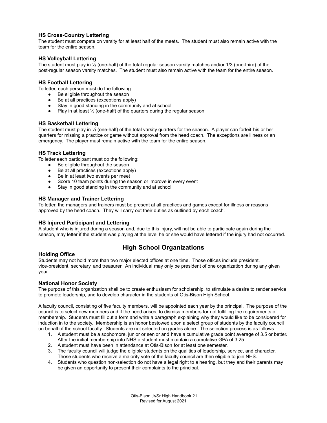#### **HS Cross-Country Lettering**

The student must compete on varsity for at least half of the meets. The student must also remain active with the team for the entire season.

#### **HS Volleyball Lettering**

The student must play in ½ (one-half) of the total regular season varsity matches and/or 1/3 (one-third) of the post-regular season varsity matches. The student must also remain active with the team for the entire season.

#### **HS Football Lettering**

To letter, each person must do the following:

- Be eligible throughout the season
- Be at all practices (exceptions apply)
- Stay in good standing in the community and at school
- Play in at least  $\frac{1}{2}$  (one-half) of the quarters during the regular season

#### **HS Basketball Lettering**

The student must play in ½ (one-half) of the total varsity quarters for the season. A player can forfeit his or her quarters for missing a practice or game without approval from the head coach. The exceptions are illness or an emergency. The player must remain active with the team for the entire season.

#### **HS Track Lettering**

To letter each participant must do the following:

- Be eligible throughout the season
- Be at all practices (exceptions apply)
- Be in at least two events per meet
- Score 10 team points during the season or improve in every event
- Stay in good standing in the community and at school

#### **HS Manager and Trainer Lettering**

To letter, the managers and trainers must be present at all practices and games except for illness or reasons approved by the head coach. They will carry out their duties as outlined by each coach.

#### **HS Injured Participant and Lettering**

A student who is injured during a season and, due to this injury, will not be able to participate again during the season, may letter if the student was playing at the level he or she would have lettered if the injury had not occurred.

#### **High School Organizations**

#### **Holding Office**

Students may not hold more than two major elected offices at one time. Those offices include president, vice-president, secretary, and treasurer. An individual may only be president of one organization during any given year.

#### **National Honor Society**

The purpose of this organization shall be to create enthusiasm for scholarship, to stimulate a desire to render service, to promote leadership, and to develop character in the students of Otis-Bison High School.

A faculty council, consisting of five faculty members, will be appointed each year by the principal. The purpose of the council is to select new members and if the need arises, to dismiss members for not fulfilling the requirements of membership. Students must fill out a form and write a paragraph explaining why they would like to be considered for induction in to the society. Membership is an honor bestowed upon a select group of students by the faculty council on behalf of the school faculty. Students are not selected on grades alone. The selection process is as follows:

- 1. A student must be a sophomore, junior or senior and have a cumulative grade point average of 3.5 or better. After the initial membership into NHS a student must maintain a cumulative GPA of 3.25 .
- 2. A student must have been in attendance at Otis-Bison for at least one semester.
- 3. The faculty council will judge the eligible students on the qualities of leadership, service, and character. Those students who receive a majority vote of the faculty council are then eligible to join NHS.
- 4. Students who question non-selection do not have a legal right to a hearing, but they and their parents may be given an opportunity to present their complaints to the principal.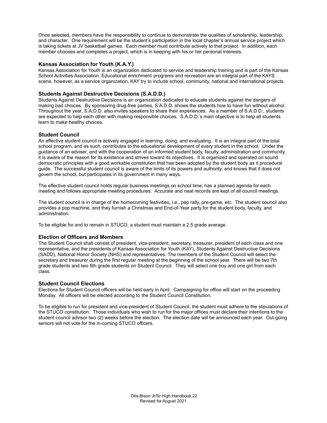Once selected, members have the responsibility to continue to demonstrate the qualities of scholarship, leadership, and character. One requirement will be the student's participation in the local chapter's annual service project which is taking tickets at JV basketball games. Each member must contribute actively to that project. In addition, each member chooses and completes a project, which is in keeping with his or her personal interests.

#### **Kansas Association for Youth (K.A.Y.)**

Kansas Association for Youth is an organization dedicated to service and leadership training and is part of the Kansas School Activities Association. Educational enrichment programs and recreation are an integral part of the KAYS scene, however, as a service organization, KAY try to include school, community, national and international projects.

#### **Students Against Destructive Decisions (S.A.D.D.)**

Students Against Destructive Decisions is an organization dedicated to educate students against the dangers of making bad choices. By sponsoring drug-free parties, S.A.D.D. shows the students how to have fun without alcohol. Throughout the year, S.A.D.D. also invites speakers to share their experiences. As a member of S.A.D.D., students are expected to help each other with making responsible choices. S.A.D.D.'s main objective is to help all students learn to make healthy choices.

#### **Student Council**

An effective student council is actively engaged in learning, doing, and evaluating. It is an integral part of the total school program, and as such, contributes to the educational development of every student in the school. Under the guidance of an adviser, and with the cooperation of an informed student body, faculty, administration and community, it is aware of the reason for its existence and strives toward its objectives. It is organized and operated on sound democratic principles with a good workable constitution that has been adopted by the student body as it procedural guide. The successful student council is aware of the limits of its powers and authority, and knows that it does not govern the school, but participates in its government in many ways.

The effective student council holds regular business meetings on school time, has a planned agenda for each meeting and follows appropriate meeting procedures. Accurate and neat records are kept of all council meetings.

The student council is in charge of the homecoming festivities, i.e., pep rally, pre-game, etc. The student council also provides a pop machine, and they furnish a Christmas and End-of-Year party for the student body, faculty, and administration.

To be eligible for and to remain in STUCO, a student must maintain a 2.5 grade average.

#### **Election of Officers and Members**

The Student Council shall consist of president, vice-president, secretary, treasurer, president of each class and one representative, and the presidents of Kansas Association for Youth (KAY), Students Against Destructive Decisions (SADD), National Honor Society (NHS) and representatives. The members of the Student Council will select the secretary and treasurer during the first regular meeting at the beginning of the school year. There will be two 7th grade students and two 8th grade students on Student Council. They will select one boy and one girl from each class.

#### **Student Council Elections**

Elections for Student Council officers will be held early in April. Campaigning for office will start on the proceeding Monday. All officers will be elected according to the Student Council Constitution.

To be eligible to run for president and vice-president of Student Council, the student must adhere to the stipulations of the STUCO constitution. Those individuals who wish to run for the major offices must declare their intentions to the student council advisor two (2) weeks before the election. The election date will be announced each year. Out-going seniors will not vote for the in-coming STUCO officers.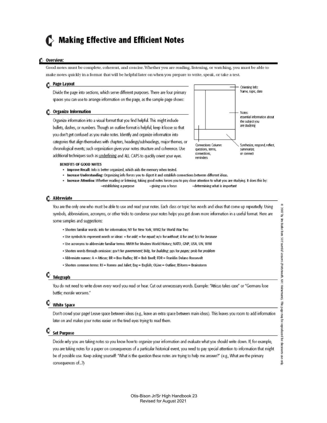## $\blacktriangleright$  Making Effective and Efficient Notes

#### Overview:

Good notes must be complete, coherent, and concise. Whether you are reading, listening, or watching, you must be able to make notes quickly in a format that will be helpful later on when you prepare to write, speak, or take a test.

#### **C** Page Layout

Divide the page into sections, which serve different purposes. There are four primary spaces you can use to arrange information on the page, as the sample page shows:

#### Organize Information

Organize information into a visual format that you find helpful. This might indude bullets, dashes, or numbers. Though an outline format is helpful, keep it loose so that you don't get confused as you make notes. Identify and organize information into categories that align themselves with chapters, headings/subheadings, major themes, or chronological events; such organization gives your notes structure and coherence. Use additional techniques such as underlining and ALL CAPS to quickly orient your eyes.



#### **BENEFITS OF GOOD NOTES**

- . Improve Recall: Info is better organized, which aids the memory when tested.
- · Increase Understanding: Organizing info forces you to digest it and establish connections between different ideas.
- . Increase Attention: Whether reading or listening, taking good notes forces you to pay close attention to what you are studying. It does this by: -establishing a purpose -giving you a focus -determining what is important

#### **6** Abbreviate

You are the only one who must be able to use and read your notes. Each class or topic has words and ideas that come up repeatedly. Using symbols, abbreviations, acronyms, or other tricks to condense your notes helps you get down more information in a useful format. Here are some samples and suggestions:

- . Shorten familiar words: info for information; NY for New York; WW2 for World War Two
- · Use symbols to represent words or ideas: + for add; = for equal; w/o for without; & for and; b/c for because
- . Use acronyms to abbreviate familiar terms: MWH for Modern World History; NATO, GNP, USA, UN, WWI
- . Shorten words through omission: gov't for government; bldg. for building; pps for pages; prob for problem
- Abbreviate names: A = Atticus; BR = Boo Radley; BE = Bob Ewell; FDR = Franklin Delano Roosevelt
- · Shorten common terms: RJ = Romeo and Juliet; Eng = English; OLine = Outline; BStorm = Brainstorm

#### C Telegraph

You do not need to write down every word you read or hear. Cut out unnecessary words. Example: "Atticus takes case" or "Germans lose battle; morale worsens."

#### **White Space**

Don't crowd your page! Leave space between ideas (e.g., leave an extra space between main ideas). This leaves you room to add information later on and makes your notes easier on the tired eyes trying to read them.

#### C set Purpose

Decide why you are taking notes so you know how to organize your information and evaluate what you should write down. If, for example, you are taking notes for a paper on consequences of a particular historical event, you need to pay special attention to information that might be of possible use. Keep asking yourself: "What is the question these notes are trying to help me answer?" (e.g., What are the primary consequences of...?)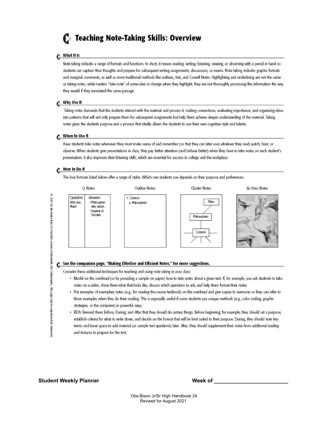## Seaching Note-Taking Skills: Overview

#### Mhat It Is

Note taking includes a range of formats and functions. In short, it means reading, writing, listening, viewing, or observing with a pencil in hand so students can capture their thoughts and prepare for subsequent writing assignments, discussions, or exams. Note taking includes graphic formats and marginal comments, as well as more traditional methods like outlines, lists, and Cornell Notes. Highlighting and underlining are not the same as taking notes; while readers "take note" of some idea or change when they highlight, they are not thoroughly processing the information the way they would if they annotated the same passage.

#### ← Why Use It

Taking notes demands that the students interact with the material and process it, making connections, evaluating importance, and organizing ideas into patterns that will not only prepare them for subsequent assignments but help them achieve deeper understanding of the material. Taking notes gives the students purpose and a process that ideally allows the students to use their own cognitive style and talents.

#### When to Use It

Have students take notes whenever they must make sense of and remember (so that they can later use) whatever they read, watch, hear, or observe. When students give presentations in class, they pay better attention (and behave better) when they have to take notes on each student's presentation; it also improves their listening skills, which are essential for success in college and the workplace.

#### ¢ How to Do It

o 2007 by im Bute forn 50 Esserid lesons (Portmouth NH: Heineman). The page may be reproduced for class com

The four formats listed below offer a range of styles. Which one students use depends on their purpose and preferences.



- strategies, or the computer) in powerful ways. · BDA: Remind them Before, During, and After that they should do certain things. Before beginning, for example, they should set a purpose,
- establish criteria for what to write down, and decide on the format that will be best suited to their purpose. During, they should note key terms and leave space to add material (or sample text questions) later. After, they should supplement their notes from additional reading and lectures to prepare for the test.

#### **Student Weekly Planner Week of \_\_\_\_\_\_\_\_\_\_\_\_\_\_\_\_\_\_\_\_\_\_\_\_\_**